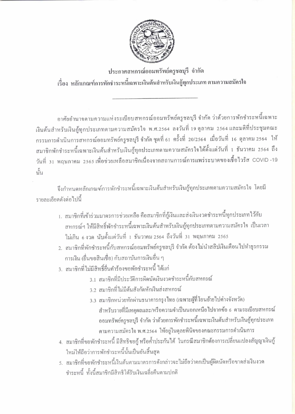

ประกาศสหกรณ์ออมทรัพย์ครูชลบุรี จำกัด เรื่อง หลักเกณฑ์การพักชำระหนี้เฉพาะเงินต้นสำหรับเงินกู้ทุกประเภท ตามความสมัครใจ

อาศัยอำนาจตามความแห่งระเบียบสหกรณ์ออมทรัพย์ครูชลบุรี จำกัด ว่าด้วยการพักชำระหนี้เฉพาะ เงินต้นสำหรับเงินกู้ทุกประเภทตามความสมัครใจ พ.ศ.2564 ลงวันที่ 19 ตุลาคม 2564 และมติที่ประชุมคณะ กรรมการคำเนินการสหกรณ์ออมทรัพย์ครูชลบุรี จำกัด ชุดที่ 61 ครั้งที่ 20/2564 เมื่อวันที่ 16 ตุลาคม 2564 ให้ สมาชิกพักชำระหนี้เฉพาะเงินต้นสำหรับเงินกู้ทุกประเภทตามความสมัครใจได้ตั้งแต่วันที่ 1 ธันวาคม 2564 ถึง วันที่ 31 พฤษภาคม 2565เพื่อช่วยเหลือสมาชิกเนื่องจากสถานการณ์การแพร่ระบาคของเชื้อไวรัส COVID -19 นั้น

จึงกำหนดหลักเกณฑ์การพักชำระหนี้เฉพาะเงินต้นสำหรับเงินกู้ทุกประเภทตามความสมัครใจ โดยมี รายละเอียดดังต่อไปนี้

- 1. สมาชิกที่เข้าร่วมมาตรการช่วยเหลือ คือสมาชิกที่กู้เงินและส่งเงินงวคชำระหนี้ทุกประเภทไว้กับ สหกรณ์ฯ ให้มีสิทธิ์พักชำระหนี้เฉพาะเงินต้นสำหรับเงินกู้ทุกประเภทตามความสมัครใจ เป็นเวลา ไม่เกิน 6 งวด นับตั้งแต่วันที่ 1 ธันวาคม 2564 ถึงวันที่ 31 พฤษภาคม 2565
- 2. สมาชิกที่พักชำระหนี้กับสหกรณ์ออมทรัพย์ครูชลบุรี จำกัด ต้องไม่นำสลิปเงินเดือนไปทำธุรกรรม การเงิน (ขึ้นขอสินเชื่อ) กับสถาบันการเงินอื่น ๆ
- 3. สมาชิกที่ไม่มีสิทธิ์ขึ้นคำร้องขอพักชำระหนี้ ได้แก่
	- 3.1 สมาชิกที่มีประวัติการผิดนัดเงินงวดชำระหนี้กับสหกรณ์
	- 3.ว สมาชิกที่ไม่มีต้นสังกัดหักเงินส่งสหกรณ์
	- 3.3 สมาชิกหน่วยหักผ่านธนาคารกรุงไทย (เฉพาะผู้ที่โอนย้ายไปต่างจังหวัด) ้สำหรับรายที่มีเหตุผลและ/หรือความจำเป็นนอกเหนือไปจากข้อ 6 ตามระเบียบสหกรณ์ ออมทรัพย์ครูชลบุรี จำกัด ว่าด้วยการพักชำระหนี้เฉพาะเงินต้นสำหรับเงินกู้ทุกประเภท ตามความสมัครใจ พ.ศ.2564 ให้อยู่ในคุลยพินิจของคณะกรรมการดำเนินการ
- 4. สมาชิกที่ขอพักชำระหนี้ มีสิทธิขอกู้ หรือค้ำประกันได้ ในกรณีสมาชิกต้องการเปลี่ยนแปลงสัญญาเงินกู้ ใหม่ให้ถือว่าการพักชำระหนี้นั้นเป็นอันสิ้นสุด
- 5. สมาชิกที่ขอพักชำระหนี้เงินต้นตามมาตรการดังกล่าวจะไม่ถือว่าตกเป็นผู้ผิดนัดหรือขาดส่งเงินงวด ชำระหนี้ ทั้งนี้สมาชิกมีสิทธิได้รับเงินเฉลี่ยคืนตามปกติ